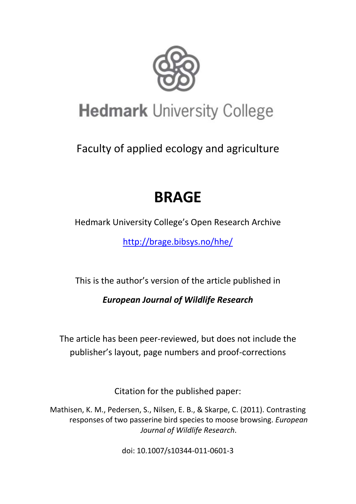

# **Hedmark University College**

Faculty of applied ecology and agriculture

# **BRAGE**

Hedmark University College's Open Research Archive

<http://brage.bibsys.no/hhe/>

This is the author's version of the article published in

*European Journal of Wildlife Research*

The article has been peer-reviewed, but does not include the publisher's layout, page numbers and proof-corrections

Citation for the published paper:

Mathisen, K. M., Pedersen, S., Nilsen, E. B., & Skarpe, C. (2011). Contrasting responses of two passerine bird species to moose browsing. *European Journal of Wildlife Research*.

doi: 10.1007/s10344-011-0601-3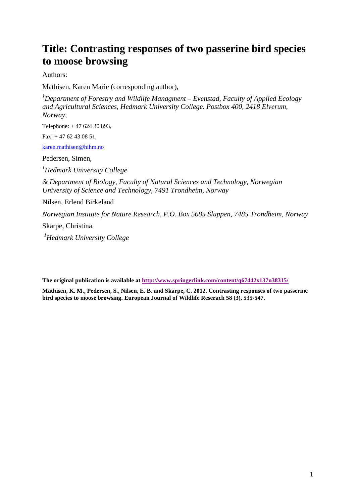# **Title: Contrasting responses of two passerine bird species to moose browsing**

Authors:

Mathisen, Karen Marie (corresponding author),

*1 Department of Forestry and Wildlife Managment – Evenstad, Faculty of Applied Ecology and Agricultural Sciences, Hedmark University College. Postbox 400, 2418 Elverum, Norway,* 

Telephone: + 47 624 30 893,

Fax: + 47 62 43 08 51,

[karen.mathisen@hihm.no](mailto:karen.mathisen@hihm.no)

Pedersen, Simen,

*1 Hedmark University College*

*& Department of Biology, Faculty of Natural Sciences and Technology, Norwegian University of Science and Technology, 7491 Trondheim, Norway*

Nilsen, Erlend Birkeland

*Norwegian Institute for Nature Research, P.O. Box 5685 Sluppen, 7485 Trondheim, Norway*

Skarpe, Christina.

*1 Hedmark University College*

**The original publication is available a[t http://www.springerlink.com/content/q67442x137n38315/](http://www.springerlink.com/content/q67442x137n38315/)**

**Mathisen, K. M., Pedersen, S., Nilsen, E. B. and Skarpe, C. 2012. Contrasting responses of two passerine bird species to moose browsing. European Journal of Wildlife Reserach 58 (3), 535-547.**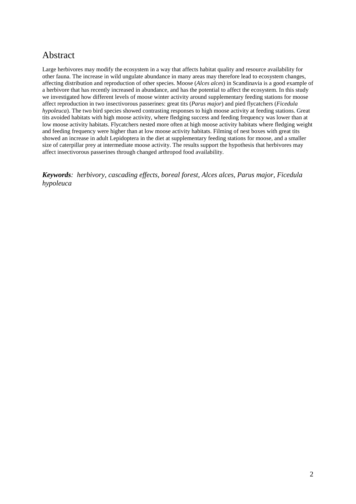## Abstract

Large herbivores may modify the ecosystem in a way that affects habitat quality and resource availability for other fauna. The increase in wild ungulate abundance in many areas may therefore lead to ecosystem changes, affecting distribution and reproduction of other species. Moose (*Alces alces*) in Scandinavia is a good example of a herbivore that has recently increased in abundance, and has the potential to affect the ecosystem. In this study we investigated how different levels of moose winter activity around supplementary feeding stations for moose affect reproduction in two insectivorous passerines: great tits (*Parus major*) and pied flycatchers (*Ficedula hypoleuca*). The two bird species showed contrasting responses to high moose activity at feeding stations. Great tits avoided habitats with high moose activity, where fledging success and feeding frequency was lower than at low moose activity habitats. Flycatchers nested more often at high moose activity habitats where fledging weight and feeding frequency were higher than at low moose activity habitats. Filming of nest boxes with great tits showed an increase in adult Lepidoptera in the diet at supplementary feeding stations for moose, and a smaller size of caterpillar prey at intermediate moose activity. The results support the hypothesis that herbivores may affect insectivorous passerines through changed arthropod food availability.

*Keywords: herbivory, cascading effects, boreal forest, Alces alces, Parus major, Ficedula hypoleuca*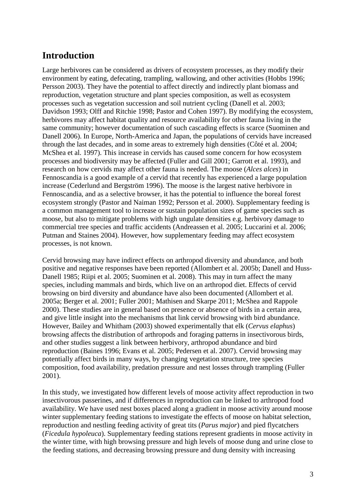## **Introduction**

Large herbivores can be considered as drivers of ecosystem processes, as they modify their environment by eating, defecating, trampling, wallowing, and other activities (Hobbs 1996; Persson 2003). They have the potential to affect directly and indirectly plant biomass and reproduction, vegetation structure and plant species composition, as well as ecosystem processes such as vegetation succession and soil nutrient cycling (Danell et al. 2003; Davidson 1993; Olff and Ritchie 1998; Pastor and Cohen 1997). By modifying the ecosystem, herbivores may affect habitat quality and resource availability for other fauna living in the same community; however documentation of such cascading effects is scarce (Suominen and Danell 2006). In Europe, North-America and Japan, the populations of cervids have increased through the last decades, and in some areas to extremely high densities (Côté et al. 2004; McShea et al. 1997). This increase in cervids has caused some concern for how ecosystem processes and biodiversity may be affected (Fuller and Gill 2001; Garrott et al. 1993), and research on how cervids may affect other fauna is needed. The moose (*Alces alces*) in Fennoscandia is a good example of a cervid that recently has experienced a large population increase (Cederlund and Bergström 1996). The moose is the largest native herbivore in Fennoscandia, and as a selective browser, it has the potential to influence the boreal forest ecosystem strongly (Pastor and Naiman 1992; Persson et al. 2000). Supplementary feeding is a common management tool to increase or sustain population sizes of game species such as moose, but also to mitigate problems with high ungulate densities e.g. herbivory damage to commercial tree species and traffic accidents (Andreassen et al. 2005; Luccarini et al. 2006; Putman and Staines 2004). However, how supplementary feeding may affect ecosystem processes, is not known.

Cervid browsing may have indirect effects on arthropod diversity and abundance, and both positive and negative responses have been reported (Allombert et al. 2005b; Danell and Huss-Danell 1985; Riipi et al. 2005; Suominen et al. 2008). This may in turn affect the many species, including mammals and birds, which live on an arthropod diet. Effects of cervid browsing on bird diversity and abundance have also been documented (Allombert et al. 2005a; Berger et al. 2001; Fuller 2001; Mathisen and Skarpe 2011; McShea and Rappole 2000). These studies are in general based on presence or absence of birds in a certain area, and give little insight into the mechanisms that link cervid browsing with bird abundance. However, Bailey and Whitham (2003) showed experimentally that elk (*Cervus elaphus*) browsing affects the distribution of arthropods and foraging patterns in insectivorous birds, and other studies suggest a link between herbivory, arthropod abundance and bird reproduction (Baines 1996; Evans et al. 2005; Pedersen et al. 2007). Cervid browsing may potentially affect birds in many ways, by changing vegetation structure, tree species composition, food availability, predation pressure and nest losses through trampling (Fuller 2001).

In this study, we investigated how different levels of moose activity affect reproduction in two insectivorous passerines, and if differences in reproduction can be linked to arthropod food availability. We have used nest boxes placed along a gradient in moose activity around moose winter supplementary feeding stations to investigate the effects of moose on habitat selection, reproduction and nestling feeding activity of great tits (*Parus major*) and pied flycatchers (*Ficedula hypoleuca*). Supplementary feeding stations represent gradients in moose activity in the winter time, with high browsing pressure and high levels of moose dung and urine close to the feeding stations, and decreasing browsing pressure and dung density with increasing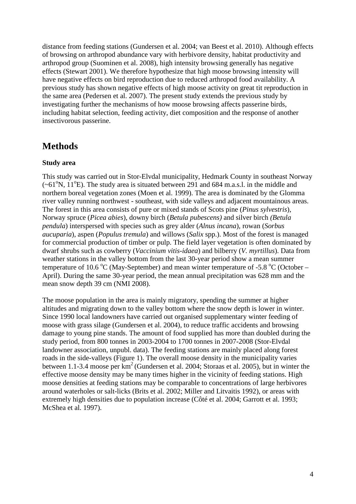distance from feeding stations (Gundersen et al. 2004; van Beest et al. 2010). Although effects of browsing on arthropod abundance vary with herbivore density, habitat productivity and arthropod group (Suominen et al. 2008), high intensity browsing generally has negative effects (Stewart 2001). We therefore hypothesize that high moose browsing intensity will have negative effects on bird reproduction due to reduced arthropod food availability. A previous study has shown negative effects of high moose activity on great tit reproduction in the same area (Pedersen et al. 2007). The present study extends the previous study by investigating further the mechanisms of how moose browsing affects passerine birds, including habitat selection, feeding activity, diet composition and the response of another insectivorous passerine.

## **Methods**

## **Study area**

This study was carried out in Stor-Elvdal municipality, Hedmark County in southeast Norway  $(-61^{\circ}N, 11^{\circ}E)$ . The study area is situated between 291 and 684 m.a.s.l. in the middle and northern boreal vegetation zones (Moen et al. 1999). The area is dominated by the Glomma river valley running northwest - southeast, with side valleys and adjacent mountainous areas. The forest in this area consists of pure or mixed stands of Scots pine (*Pinus sylvestris*), Norway spruce (*Picea abies*), downy birch (*Betula pubescens)* and silver birch *(Betula pendula*) interspersed with species such as grey alder (*Alnus incana*), rowan (*Sorbus aucuparia*), aspen (*Populus tremula*) and willows (*Salix* spp.). Most of the forest is managed for commercial production of timber or pulp. The field layer vegetation is often dominated by dwarf shrubs such as cowberry (*Vaccinium vitis-idaea*) and bilberry (*V. myrtillus*). Data from weather stations in the valley bottom from the last 30-year period show a mean summer temperature of 10.6 °C (May-September) and mean winter temperature of -5.8 °C (October – April). During the same 30-year period, the mean annual precipitation was 628 mm and the mean snow depth 39 cm (NMI 2008).

The moose population in the area is mainly migratory, spending the summer at higher altitudes and migrating down to the valley bottom where the snow depth is lower in winter. Since 1990 local landowners have carried out organised supplementary winter feeding of moose with grass silage (Gundersen et al. 2004), to reduce traffic accidents and browsing damage to young pine stands. The amount of food supplied has more than doubled during the study period, from 800 tonnes in 2003-2004 to 1700 tonnes in 2007-2008 (Stor-Elvdal landowner association, unpubl. data). The feeding stations are mainly placed along forest roads in the side-valleys (Figure 1). The overall moose density in the municipality varies between 1.1-3.4 moose per  $km^2$  (Gundersen et al. 2004; Storaas et al. 2005), but in winter the effective moose density may be many times higher in the vicinity of feeding stations. High moose densities at feeding stations may be comparable to concentrations of large herbivores around waterholes or salt-licks (Brits et al. 2002; Miller and Litvaitis 1992), or areas with extremely high densities due to population increase (Côté et al. 2004; Garrott et al. 1993; McShea et al. 1997).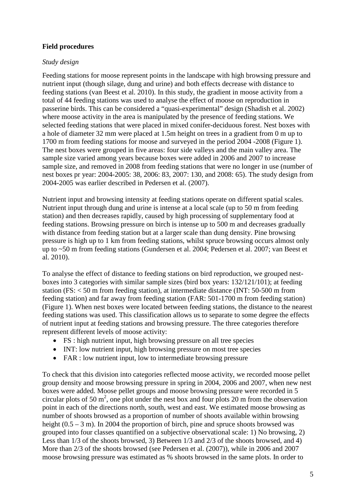## **Field procedures**

### *Study design*

Feeding stations for moose represent points in the landscape with high browsing pressure and nutrient input (though silage, dung and urine) and both effects decrease with distance to feeding stations (van Beest et al. 2010). In this study, the gradient in moose activity from a total of 44 feeding stations was used to analyse the effect of moose on reproduction in passerine birds. This can be considered a "quasi-experimental" design (Shadish et al. 2002) where moose activity in the area is manipulated by the presence of feeding stations. We selected feeding stations that were placed in mixed conifer-deciduous forest. Nest boxes with a hole of diameter 32 mm were placed at 1.5m height on trees in a gradient from 0 m up to 1700 m from feeding stations for moose and surveyed in the period 2004 -2008 (Figure 1). The nest boxes were grouped in five areas: four side valleys and the main valley area. The sample size varied among years because boxes were added in 2006 and 2007 to increase sample size, and removed in 2008 from feeding stations that were no longer in use (number of nest boxes pr year: 2004-2005: 38, 2006: 83, 2007: 130, and 2008: 65). The study design from 2004-2005 was earlier described in Pedersen et al. (2007).

Nutrient input and browsing intensity at feeding stations operate on different spatial scales. Nutrient input through dung and urine is intense at a local scale (up to 50 m from feeding station) and then decreases rapidly, caused by high processing of supplementary food at feeding stations. Browsing pressure on birch is intense up to 500 m and decreases gradually with distance from feeding station but at a larger scale than dung density. Pine browsing pressure is high up to 1 km from feeding stations, whilst spruce browsing occurs almost only up to ~50 m from feeding stations (Gundersen et al. 2004; Pedersen et al. 2007; van Beest et al. 2010).

To analyse the effect of distance to feeding stations on bird reproduction, we grouped nestboxes into 3 categories with similar sample sizes (bird box years: 132/121/101); at feeding station (FS: < 50 m from feeding station), at intermediate distance (INT: 50-500 m from feeding station) and far away from feeding station (FAR: 501-1700 m from feeding station) (Figure 1). When nest boxes were located between feeding stations, the distance to the nearest feeding stations was used. This classification allows us to separate to some degree the effects of nutrient input at feeding stations and browsing pressure. The three categories therefore represent different levels of moose activity:

- FS : high nutrient input, high browsing pressure on all tree species
- INT: low nutrient input, high browsing pressure on most tree species
- FAR : low nutrient input, low to intermediate browsing pressure

To check that this division into categories reflected moose activity, we recorded moose pellet group density and moose browsing pressure in spring in 2004, 2006 and 2007, when new nest boxes were added. Moose pellet groups and moose browsing pressure were recorded in 5 circular plots of 50  $m^2$ , one plot under the nest box and four plots 20 m from the observation point in each of the directions north, south, west and east. We estimated moose browsing as number of shoots browsed as a proportion of number of shoots available within browsing height (0.5 – 3 m). In 2004 the proportion of birch, pine and spruce shoots browsed was grouped into four classes quantified on a subjective observational scale: 1) No browsing, 2) Less than 1/3 of the shoots browsed, 3) Between 1/3 and 2/3 of the shoots browsed, and 4) More than 2/3 of the shoots browsed (see Pedersen et al. (2007)), while in 2006 and 2007 moose browsing pressure was estimated as % shoots browsed in the same plots. In order to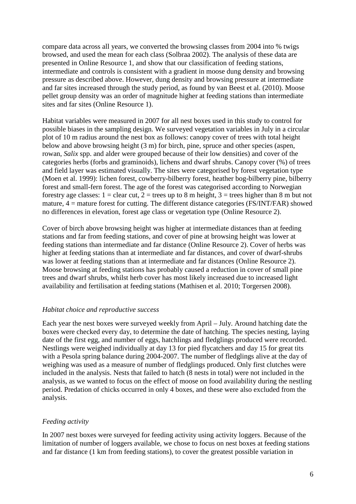compare data across all years, we converted the browsing classes from 2004 into % twigs browsed, and used the mean for each class (Solbraa 2002). The analysis of these data are presented in Online Resource 1, and show that our classification of feeding stations, intermediate and controls is consistent with a gradient in moose dung density and browsing pressure as described above. However, dung density and browsing pressure at intermediate and far sites increased through the study period, as found by van Beest et al. (2010). Moose pellet group density was an order of magnitude higher at feeding stations than intermediate sites and far sites (Online Resource 1).

Habitat variables were measured in 2007 for all nest boxes used in this study to control for possible biases in the sampling design. We surveyed vegetation variables in July in a circular plot of 10 m radius around the nest box as follows: canopy cover of trees with total height below and above browsing height (3 m) for birch, pine, spruce and other species (aspen, rowan, *Salix* spp. and alder were grouped because of their low densities) and cover of the categories herbs (forbs and graminoids), lichens and dwarf shrubs. Canopy cover (%) of trees and field layer was estimated visually. The sites were categorised by forest vegetation type (Moen et al. 1999): lichen forest, cowberry-bilberry forest, heather bog-bilberry pine, bilberry forest and small-fern forest. The age of the forest was categorised according to Norwegian forestry age classes:  $1 =$  clear cut,  $2 =$  trees up to 8 m height,  $3 =$  trees higher than 8 m but not mature, 4 = mature forest for cutting. The different distance categories (FS/INT/FAR) showed no differences in elevation, forest age class or vegetation type (Online Resource 2).

Cover of birch above browsing height was higher at intermediate distances than at feeding stations and far from feeding stations, and cover of pine at browsing height was lower at feeding stations than intermediate and far distance (Online Resource 2). Cover of herbs was higher at feeding stations than at intermediate and far distances, and cover of dwarf-shrubs was lower at feeding stations than at intermediate and far distances (Online Resource 2). Moose browsing at feeding stations has probably caused a reduction in cover of small pine trees and dwarf shrubs, whilst herb cover has most likely increased due to increased light availability and fertilisation at feeding stations (Mathisen et al. 2010; Torgersen 2008).

#### *Habitat choice and reproductive success*

Each year the nest boxes were surveyed weekly from April – July. Around hatching date the boxes were checked every day, to determine the date of hatching. The species nesting, laying date of the first egg, and number of eggs, hatchlings and fledglings produced were recorded. Nestlings were weighed individually at day 13 for pied flycatchers and day 15 for great tits with a Pesola spring balance during 2004-2007. The number of fledglings alive at the day of weighing was used as a measure of number of fledglings produced. Only first clutches were included in the analysis. Nests that failed to hatch (8 nests in total) were not included in the analysis, as we wanted to focus on the effect of moose on food availability during the nestling period. Predation of chicks occurred in only 4 boxes, and these were also excluded from the analysis.

#### *Feeding activity*

In 2007 nest boxes were surveyed for feeding activity using activity loggers. Because of the limitation of number of loggers available, we chose to focus on nest boxes at feeding stations and far distance (1 km from feeding stations), to cover the greatest possible variation in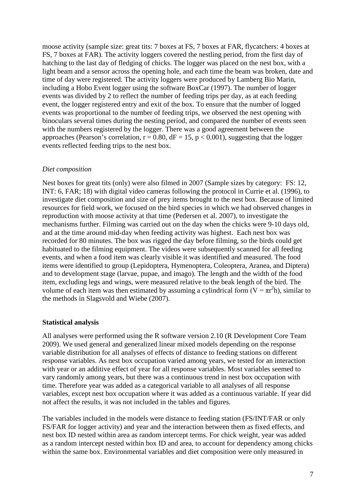moose activity (sample size: great tits: 7 boxes at FS, 7 boxes at FAR, flycatchers: 4 boxes at FS, 7 boxes at FAR). The activity loggers covered the nestling period, from the first day of hatching to the last day of fledging of chicks. The logger was placed on the nest box, with a light beam and a sensor across the opening hole, and each time the beam was broken, date and time of day were registered. The activity loggers were produced by Lamberg Bio Marin, including a Hobo Event logger using the software BoxCar (1997). The number of logger events was divided by 2 to reflect the number of feeding trips per day, as at each feeding event, the logger registered entry and exit of the box. To ensure that the number of logged events was proportional to the number of feeding trips, we observed the nest opening with binoculars several times during the nesting period, and compared the number of events seen with the numbers registered by the logger. There was a good agreement between the approaches (Pearson's correlation,  $r = 0.80$ ,  $dF = 15$ ,  $p < 0.001$ ), suggesting that the logger events reflected feeding trips to the nest box.

#### *Diet composition*

Nest boxes for great tits (only) were also filmed in 2007 (Sample sizes by category: FS: 12, INT: 6, FAR; 18) with digital video cameras following the protocol in Currie et al. (1996), to investigate diet composition and size of prey items brought to the nest box. Because of limited resources for field work, we focused on the bird species in which we had observed changes in reproduction with moose activity at that time (Pedersen et al. 2007), to investigate the mechanisms further. Filming was carried out on the day when the chicks were 9-10 days old, and at the time around mid-day when feeding activity was highest. Each nest box was recorded for 80 minutes. The box was rigged the day before filming, so the birds could get habituated to the filming equipment. The videos were subsequently scanned for all feeding events, and when a food item was clearly visible it was identified and measured. The food items were identified to group (Lepidoptera, Hymenoptera, Coleoptera, Aranea, and Diptera) and to development stage (larvae, pupae, and imago). The length and the width of the food item, excluding legs and wings, were measured relative to the beak length of the bird. The volume of each item was then estimated by assuming a cylindrical form  $(V = \pi r^2 h)$ , similar to the methods in Slagsvold and Wiebe (2007).

#### **Statistical analysis**

All analyses were performed using the R software version 2.10 (R Development Core Team 2009). We used general and generalized linear mixed models depending on the response variable distribution for all analyses of effects of distance to feeding stations on different response variables. As nest box occupation varied among years, we tested for an interaction with year or an additive effect of year for all response variables. Most variables seemed to vary randomly among years, but there was a continuous trend in nest box occupation with time. Therefore year was added as a categorical variable to all analyses of all response variables, except nest box occupation where it was added as a continuous variable. If year did not affect the results, it was not included in the tables and figures.

The variables included in the models were distance to feeding station (FS/INT/FAR or only FS/FAR for logger activity) and year and the interaction between them as fixed effects, and nest box ID nested within area as random intercept terms. For chick weight, year was added as a random intercept nested within box ID and area, to account for dependency among chicks within the same box. Environmental variables and diet composition were only measured in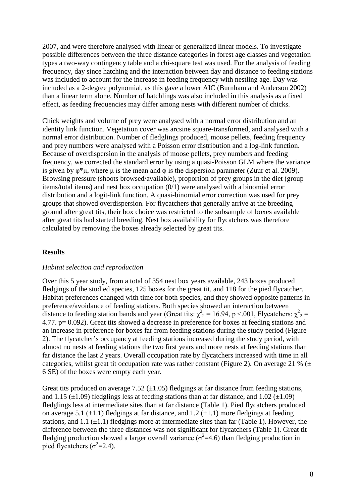2007, and were therefore analysed with linear or generalized linear models. To investigate possible differences between the three distance categories in forest age classes and vegetation types a two-way contingency table and a chi-square test was used. For the analysis of feeding frequency, day since hatching and the interaction between day and distance to feeding stations was included to account for the increase in feeding frequency with nestling age. Day was included as a 2-degree polynomial, as this gave a lower AIC (Burnham and Anderson 2002) than a linear term alone. Number of hatchlings was also included in this analysis as a fixed effect, as feeding frequencies may differ among nests with different number of chicks.

Chick weights and volume of prey were analysed with a normal error distribution and an identity link function. Vegetation cover was arcsine square-transformed, and analysed with a normal error distribution. Number of fledglings produced, moose pellets, feeding frequency and prey numbers were analysed with a Poisson error distribution and a log-link function. Because of overdispersion in the analysis of moose pellets, prey numbers and feeding frequency, we corrected the standard error by using a quasi-Poisson GLM where the variance is given by  $\varphi^* \mu$ , where  $\mu$  is the mean and  $\varphi$  is the dispersion parameter (Zuur et al. 2009). Browsing pressure (shoots browsed/available), proportion of prey groups in the diet (group items/total items) and nest box occupation (0/1) were analysed with a binomial error distribution and a logit-link function. A quasi-binomial error correction was used for prey groups that showed overdispersion. For flycatchers that generally arrive at the breeding ground after great tits, their box choice was restricted to the subsample of boxes available after great tits had started breeding. Nest box availability for flycatchers was therefore calculated by removing the boxes already selected by great tits.

#### **Results**

#### *Habitat selection and reproduction*

Over this 5 year study, from a total of 354 nest box years available, 243 boxes produced fledgings of the studied species, 125 boxes for the great tit, and 118 for the pied flycatcher. Habitat preferences changed with time for both species, and they showed opposite patterns in preference/avoidance of feeding stations. Both species showed an interaction between distance to feeding station bands and year (Great tits:  $\chi^2$ <sub>2</sub> = 16.94, p <.001, Flycatchers:  $\chi^2$ <sub>2</sub> = 4.77. p= 0.092). Great tits showed a decrease in preference for boxes at feeding stations and an increase in preference for boxes far from feeding stations during the study period (Figure 2). The flycatcher's occupancy at feeding stations increased during the study period, with almost no nests at feeding stations the two first years and more nests at feeding stations than far distance the last 2 years. Overall occupation rate by flycatchers increased with time in all categories, whilst great tit occupation rate was rather constant (Figure 2). On average 21 %  $(±$ 6 SE) of the boxes were empty each year.

Great tits produced on average 7.52  $(\pm 1.05)$  fledgings at far distance from feeding stations, and 1.15 ( $\pm$ 1.09) fledglings less at feeding stations than at far distance, and 1.02 ( $\pm$ 1.09) fledglings less at intermediate sites than at far distance (Table 1). Pied flycatchers produced on average 5.1 ( $\pm$ 1.1) fledgings at far distance, and 1.2 ( $\pm$ 1.1) more fledgings at feeding stations, and 1.1  $(\pm 1.1)$  fledgings more at intermediate sites than far (Table 1). However, the difference between the three distances was not significant for flycatchers (Table 1). Great tit fledging production showed a larger overall variance ( $\sigma^2$ =4.6) than fledging production in pied flycatchers ( $\sigma^2$ =2.4).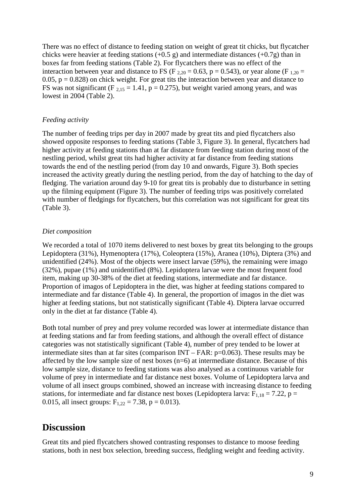There was no effect of distance to feeding station on weight of great tit chicks, but flycatcher chicks were heavier at feeding stations  $(+0.5 \text{ g})$  and intermediate distances  $(+0.7 \text{ g})$  than in boxes far from feeding stations (Table 2). For flycatchers there was no effect of the interaction between year and distance to FS (F  $_{2,20}$  = 0.63, p = 0.543), or year alone (F  $_{1,20}$  = 0.05,  $p = 0.828$ ) on chick weight. For great tits the interaction between year and distance to FS was not significant (F  $_{2,15}$  = 1.41, p = 0.275), but weight varied among years, and was lowest in 2004 (Table 2).

### *Feeding activity*

The number of feeding trips per day in 2007 made by great tits and pied flycatchers also showed opposite responses to feeding stations (Table 3, Figure 3). In general, flycatchers had higher activity at feeding stations than at far distance from feeding station during most of the nestling period, whilst great tits had higher activity at far distance from feeding stations towards the end of the nestling period (from day 10 and onwards, Figure 3). Both species increased the activity greatly during the nestling period, from the day of hatching to the day of fledging. The variation around day 9-10 for great tits is probably due to disturbance in setting up the filming equipment (Figure 3). The number of feeding trips was positively correlated with number of fledgings for flycatchers, but this correlation was not significant for great tits (Table 3).

### *Diet composition*

We recorded a total of 1070 items delivered to nest boxes by great tits belonging to the groups Lepidoptera (31%), Hymenoptera (17%), Coleoptera (15%), Aranea (10%), Diptera (3%) and unidentified (24%). Most of the objects were insect larvae (59%), the remaining were imago (32%), pupae (1%) and unidentified (8%). Lepidoptera larvae were the most frequent food item, making up 30-38% of the diet at feeding stations, intermediate and far distance. Proportion of imagos of Lepidoptera in the diet, was higher at feeding stations compared to intermediate and far distance (Table 4). In general, the proportion of imagos in the diet was higher at feeding stations, but not statistically significant (Table 4). Diptera larvae occurred only in the diet at far distance (Table 4).

Both total number of prey and prey volume recorded was lower at intermediate distance than at feeding stations and far from feeding stations, and although the overall effect of distance categories was not statistically significant (Table 4), number of prey tended to be lower at intermediate sites than at far sites (comparison INT – FAR: p=0.063). These results may be affected by the low sample size of nest boxes  $(n=6)$  at intermediate distance. Because of this low sample size, distance to feeding stations was also analysed as a continuous variable for volume of prey in intermediate and far distance nest boxes. Volume of Lepidoptera larva and volume of all insect groups combined, showed an increase with increasing distance to feeding stations, for intermediate and far distance nest boxes (Lepidoptera larva:  $F_{1,18} = 7.22$ , p = 0.015, all insect groups:  $F_{1,22} = 7.38$ , p = 0.013).

## **Discussion**

Great tits and pied flycatchers showed contrasting responses to distance to moose feeding stations, both in nest box selection, breeding success, fledgling weight and feeding activity.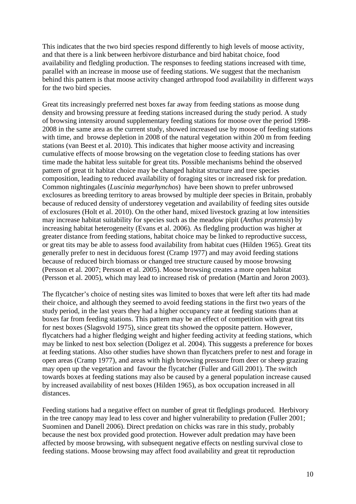This indicates that the two bird species respond differently to high levels of moose activity, and that there is a link between herbivore disturbance and bird habitat choice, food availability and fledgling production. The responses to feeding stations increased with time, parallel with an increase in moose use of feeding stations. We suggest that the mechanism behind this pattern is that moose activity changed arthropod food availability in different ways for the two bird species.

Great tits increasingly preferred nest boxes far away from feeding stations as moose dung density and browsing pressure at feeding stations increased during the study period. A study of browsing intensity around supplementary feeding stations for moose over the period 1998- 2008 in the same area as the current study, showed increased use by moose of feeding stations with time, and browse depletion in 2008 of the natural vegetation within 200 m from feeding stations (van Beest et al. 2010). This indicates that higher moose activity and increasing cumulative effects of moose browsing on the vegetation close to feeding stations has over time made the habitat less suitable for great tits. Possible mechanisms behind the observed pattern of great tit habitat choice may be changed habitat structure and tree species composition, leading to reduced availability of foraging sites or increased risk for predation. Common nightingales (*Luscinia megarhynchos*) have been shown to prefer unbrowsed exclosures as breeding territory to areas browsed by multiple deer species in Britain, probably because of reduced density of understorey vegetation and availability of feeding sites outside of exclosures (Holt et al. 2010). On the other hand, mixed livestock grazing at low intensities may increase habitat suitability for species such as the meadow pipit (*Anthus pratensis*) by increasing habitat heterogeneity (Evans et al. 2006). As fledgling production was higher at greater distance from feeding stations, habitat choice may be linked to reproductive success, or great tits may be able to assess food availability from habitat cues (Hilden 1965). Great tits generally prefer to nest in deciduous forest (Cramp 1977) and may avoid feeding stations because of reduced birch biomass or changed tree structure caused by moose browsing (Persson et al. 2007; Persson et al. 2005). Moose browsing creates a more open habitat (Persson et al. 2005), which may lead to increased risk of predation (Martin and Joron 2003).

The flycatcher's choice of nesting sites was limited to boxes that were left after tits had made their choice, and although they seemed to avoid feeding stations in the first two years of the study period, in the last years they had a higher occupancy rate at feeding stations than at boxes far from feeding stations. This pattern may be an effect of competition with great tits for nest boxes (Slagsvold 1975), since great tits showed the opposite pattern. However, flycatchers had a higher fledging weight and higher feeding activity at feeding stations, which may be linked to nest box selection (Doligez et al. 2004). This suggests a preference for boxes at feeding stations. Also other studies have shown than flycatchers prefer to nest and forage in open areas (Cramp 1977), and areas with high browsing pressure from deer or sheep grazing may open up the vegetation and favour the flycatcher (Fuller and Gill 2001). The switch towards boxes at feeding stations may also be caused by a general population increase caused by increased availability of nest boxes (Hilden 1965), as box occupation increased in all distances.

Feeding stations had a negative effect on number of great tit fledglings produced. Herbivory in the tree canopy may lead to less cover and higher vulnerability to predation (Fuller 2001; Suominen and Danell 2006). Direct predation on chicks was rare in this study, probably because the nest box provided good protection. However adult predation may have been affected by moose browsing, with subsequent negative effects on nestling survival close to feeding stations. Moose browsing may affect food availability and great tit reproduction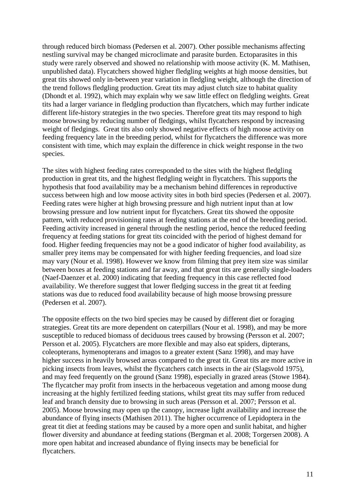through reduced birch biomass (Pedersen et al. 2007). Other possible mechanisms affecting nestling survival may be changed microclimate and parasite burden. Ectoparasites in this study were rarely observed and showed no relationship with moose activity (K. M. Mathisen, unpublished data). Flycatchers showed higher fledgling weights at high moose densities, but great tits showed only in-between year variation in fledgling weight, although the direction of the trend follows fledgling production. Great tits may adjust clutch size to habitat quality (Dhondt et al. 1992), which may explain why we saw little effect on fledgling weights. Great tits had a larger variance in fledgling production than flycatchers, which may further indicate different life-history strategies in the two species. Therefore great tits may respond to high moose browsing by reducing number of fledgings, whilst flycatchers respond by increasing weight of fledgings. Great tits also only showed negative effects of high moose activity on feeding frequency late in the breeding period, whilst for flycatchers the difference was more consistent with time, which may explain the difference in chick weight response in the two species.

The sites with highest feeding rates corresponded to the sites with the highest fledgling production in great tits, and the highest fledgling weight in flycatchers. This supports the hypothesis that food availability may be a mechanism behind differences in reproductive success between high and low moose activity sites in both bird species (Pedersen et al. 2007). Feeding rates were higher at high browsing pressure and high nutrient input than at low browsing pressure and low nutrient input for flycatchers. Great tits showed the opposite pattern, with reduced provisioning rates at feeding stations at the end of the breeding period. Feeding activity increased in general through the nestling period, hence the reduced feeding frequency at feeding stations for great tits coincided with the period of highest demand for food. Higher feeding frequencies may not be a good indicator of higher food availability, as smaller prey items may be compensated for with higher feeding frequencies, and load size may vary (Nour et al. 1998). However we know from filming that prey item size was similar between boxes at feeding stations and far away, and that great tits are generally single-loaders (Naef-Daenzer et al. 2000) indicating that feeding frequency in this case reflected food availability. We therefore suggest that lower fledging success in the great tit at feeding stations was due to reduced food availability because of high moose browsing pressure (Pedersen et al. 2007).

The opposite effects on the two bird species may be caused by different diet or foraging strategies. Great tits are more dependent on caterpillars (Nour et al. 1998), and may be more susceptible to reduced biomass of deciduous trees caused by browsing (Persson et al. 2007; Persson et al. 2005). Flycatchers are more flexible and may also eat spiders, dipterans, coleopterans, hymenopterans and imagos to a greater extent (Sanz 1998), and may have higher success in heavily browsed areas compared to the great tit. Great tits are more active in picking insects from leaves, whilst the flycatchers catch insects in the air (Slagsvold 1975), and may feed frequently on the ground (Sanz 1998), especially in grazed areas (Stowe 1984). The flycatcher may profit from insects in the herbaceous vegetation and among moose dung increasing at the highly fertilized feeding stations, whilst great tits may suffer from reduced leaf and branch density due to browsing in such areas (Persson et al. 2007; Persson et al. 2005). Moose browsing may open up the canopy, increase light availability and increase the abundance of flying insects (Mathisen 2011). The higher occurrence of Lepidoptera in the great tit diet at feeding stations may be caused by a more open and sunlit habitat, and higher flower diversity and abundance at feeding stations (Bergman et al. 2008; Torgersen 2008). A more open habitat and increased abundance of flying insects may be beneficial for flycatchers.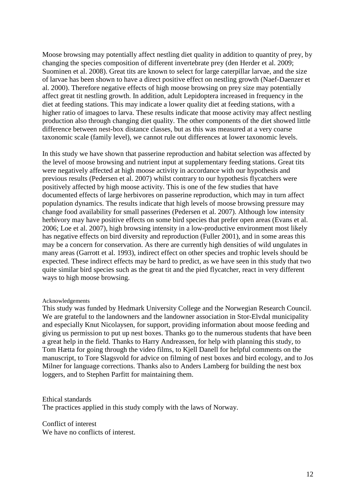Moose browsing may potentially affect nestling diet quality in addition to quantity of prey, by changing the species composition of different invertebrate prey (den Herder et al. 2009; Suominen et al. 2008). Great tits are known to select for large caterpillar larvae, and the size of larvae has been shown to have a direct positive effect on nestling growth (Naef-Daenzer et al. 2000). Therefore negative effects of high moose browsing on prey size may potentially affect great tit nestling growth. In addition, adult Lepidoptera increased in frequency in the diet at feeding stations. This may indicate a lower quality diet at feeding stations, with a higher ratio of imagoes to larva. These results indicate that moose activity may affect nestling production also through changing diet quality. The other components of the diet showed little difference between nest-box distance classes, but as this was measured at a very coarse taxonomic scale (family level), we cannot rule out differences at lower taxonomic levels.

In this study we have shown that passerine reproduction and habitat selection was affected by the level of moose browsing and nutrient input at supplementary feeding stations. Great tits were negatively affected at high moose activity in accordance with our hypothesis and previous results (Pedersen et al. 2007) whilst contrary to our hypothesis flycatchers were positively affected by high moose activity. This is one of the few studies that have documented effects of large herbivores on passerine reproduction, which may in turn affect population dynamics. The results indicate that high levels of moose browsing pressure may change food availability for small passerines (Pedersen et al. 2007). Although low intensity herbivory may have positive effects on some bird species that prefer open areas (Evans et al. 2006; Loe et al. 2007), high browsing intensity in a low-productive environment most likely has negative effects on bird diversity and reproduction (Fuller 2001), and in some areas this may be a concern for conservation. As there are currently high densities of wild ungulates in many areas (Garrott et al. 1993), indirect effect on other species and trophic levels should be expected. These indirect effects may be hard to predict, as we have seen in this study that two quite similar bird species such as the great tit and the pied flycatcher, react in very different ways to high moose browsing.

#### Acknowledgements

This study was funded by Hedmark University College and the Norwegian Research Council. We are grateful to the landowners and the landowner association in Stor-Elvdal municipality and especially Knut Nicolaysen, for support, providing information about moose feeding and giving us permission to put up nest boxes. Thanks go to the numerous students that have been a great help in the field. Thanks to Harry Andreassen, for help with planning this study, to Tom Hætta for going through the video films, to Kjell Danell for helpful comments on the manuscript, to Tore Slagsvold for advice on filming of nest boxes and bird ecology, and to Jos Milner for language corrections. Thanks also to Anders Lamberg for building the nest box loggers, and to Stephen Parfitt for maintaining them.

#### Ethical standards

The practices applied in this study comply with the laws of Norway.

Conflict of interest We have no conflicts of interest.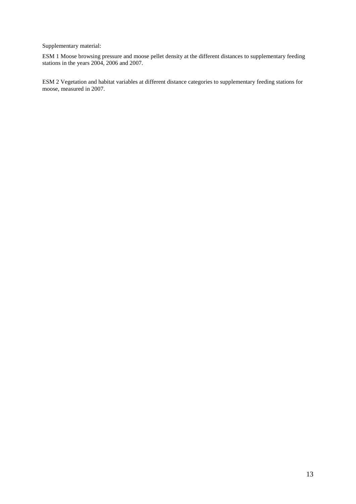Supplementary material:

ESM 1 Moose browsing pressure and moose pellet density at the different distances to supplementary feeding stations in the years 2004, 2006 and 2007.

ESM 2 Vegetation and habitat variables at different distance categories to supplementary feeding stations for moose, measured in 2007.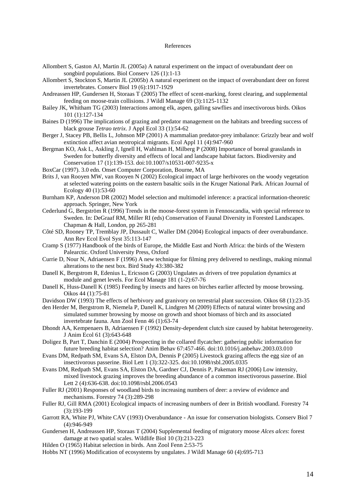#### References

- Allombert S, Gaston AJ, Martin JL (2005a) A natural experiment on the impact of overabundant deer on songbird populations. Biol Conserv 126 (1):1-13
- Allombert S, Stockton S, Martin JL (2005b) A natural experiment on the impact of overabundant deer on forest invertebrates. Conserv Biol 19 (6):1917-1929
- Andreassen HP, Gundersen H, Storaas T (2005) The effect of scent-marking, forest clearing, and supplemental feeding on moose-train collisions. J Wildl Manage 69 (3):1125-1132
- Bailey JK, Whitham TG (2003) Interactions among elk, aspen, galling sawflies and insectivorous birds. Oikos 101 (1):127-134
- Baines D (1996) The implications of grazing and predator management on the habitats and breeding success of black grouse *Tetrao tetrix*. J Appl Ecol 33 (1):54-62
- Berger J, Stacey PB, Bellis L, Johnson MP (2001) A mammalian predator-prey imbalance: Grizzly bear and wolf extinction affect avian neotropical migrants. Ecol Appl 11 (4):947-960
- Bergman KO, Ask L, Askling J, Ignell H, Wahlman H, Milberg P (2008) Importance of boreal grasslands in Sweden for butterfly diversity and effects of local and landscape habitat factors. Biodiversity and Conservation 17 (1):139-153. doi:10.1007/s10531-007-9235-x
- BoxCar (1997). 3.0 edn. Onset Computer Corporation, Bourne, MA
- Brits J, van Rooyen MW, van Rooyen N (2002) Ecological impact of large herbivores on the woody vegetation at selected watering points on the eastern basaltic soils in the Kruger National Park. African Journal of Ecology 40 (1):53-60
- Burnham KP, Anderson DR (2002) Model selection and multimodel inference: a practical information-theoretic approach. Springer, New York
- Cederlund G, Bergström R (1996) Trends in the moose-forest system in Fennoscandia, with special reference to Sweden. In: DeGraaf RM, Miller RI (eds) Conservation of Faunal Diversity in Forested Landscapes. Chapman & Hall, London, pp 265-281
- Côté SD, Rooney TP, Tremblay JP, Dussault C, Waller DM (2004) Ecological impacts of deer overabundance. Ann Rev Ecol Evol Syst 35:113-147
- Cramp S (1977) Handbook of the birds of Europe, the Middle East and North Africa: the birds of the Western Palearctic. Oxford University Press, Oxford
- Currie D, Nour N, Adriaensen F (1996) A new technique for filming prey delivered to nestlings, making minmal alterations to the nest box. Bird Study 43:380-382
- Danell K, Bergstrom R, Edenius L, Ericsson G (2003) Ungulates as drivers of tree population dynamics at module and genet levels. For Ecol Manage 181 (1-2):67-76
- Danell K, Huss-Danell K (1985) Feeding by insects and hares on birches earlier affected by moose browsing. Oikos 44 (1):75-81
- Davidson DW (1993) The effects of herbivory and granivory on terrestrial plant succession. Oikos 68 (1):23-35
- den Herder M, Bergstrom R, Niemela P, Danell K, Lindgren M (2009) Effects of natural winter browsing and simulated summer browsing by moose on growth and shoot biomass of birch and its associated invertebrate fauna. Ann Zool Fenn 46 (1):63-74
- Dhondt AA, Kempenaers B, Adriaensen F (1992) Density-dependent clutch size caused by habitat heterogeneity. J Anim Ecol 61 (3):643-648
- Doligez B, Part T, Danchin E (2004) Prospecting in the collared flycatcher: gathering public information for future breeding habitat selection? Anim Behav 67:457-466. doi:10.1016/j.anbehav.2003.03.010
- Evans DM, Redpath SM, Evans SA, Elston DA, Dennis P (2005) Livestock grazing affects the egg size of an insectivorous passerine. Biol Lett 1 (3):322-325. doi:10.1098/rsbl.2005.0335
- Evans DM, Redpath SM, Evans SA, Elston DA, Gardner CJ, Dennis P, Pakeman RJ (2006) Low intensity, mixed livestock grazing improves the breeding abundance of a common insectivorous passerine. Biol Lett 2 (4):636-638. doi:10.1098/rsbl.2006.0543
- Fuller RJ (2001) Responses of woodland birds to increasing numbers of deer: a review of evidence and mechanisms. Forestry 74 (3):289-298
- Fuller RJ, Gill RMA (2001) Ecological impacts of increasing numbers of deer in British woodland. Forestry 74 (3):193-199
- Garrott RA, White PJ, White CAV (1993) Overabundance An issue for conservation biologists. Conserv Biol 7 (4):946-949
- Gundersen H, Andreassen HP, Storaas T (2004) Supplemental feeding of migratory moose *Alces alces*: forest damage at two spatial scales. Wildlife Biol 10 (3):213-223
- Hilden O (1965) Habitat selection in birds. Ann Zool Fenn 2:53-75
- Hobbs NT (1996) Modification of ecosystems by ungulates. J Wildl Manage 60 (4):695-713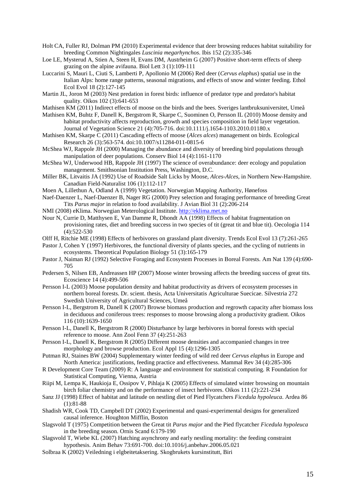- Holt CA, Fuller RJ, Dolman PM (2010) Experimental evidence that deer browsing reduces habitat suitability for breeding Common Nightingales *Luscinia megarhynchos*. Ibis 152 (2):335-346
- Loe LE, Mysterud A, Stien A, Steen H, Evans DM, Austrheim G (2007) Positive short-term effects of sheep grazing on the alpine avifauna. Biol Lett 3 (1):109-111
- Luccarini S, Mauri L, Ciuti S, Lamberti P, Apollonio M (2006) Red deer (*Cervus elaphus*) spatial use in the Italian Alps: home range patterns, seasonal migrations, and effects of snow and winter feeding. Ethol Ecol Evol 18 (2):127-145
- Martin JL, Joron M (2003) Nest predation in forest birds: influence of predator type and predator's habitat quality. Oikos 102 (3):641-653
- Mathisen KM (2011) Indirect effects of moose on the birds and the bees. Sveriges lantbruksuniversitet, Umeå
- Mathisen KM, Buhtz F, Danell K, Bergstrom R, Skarpe C, Suominen O, Persson IL (2010) Moose density and habitat productivity affects reproduction, growth and species composition in field layer vegetation. Journal of Vegetation Science 21 (4):705-716. doi:10.1111/j.1654-1103.2010.01180.x
- Mathisen KM, Skarpe C (2011) Cascading effects of moose (*Alces alces*) management on birds. Ecological Research 26 (3):563-574. doi:10.1007/s11284-011-0815-6
- McShea WJ, Rappole JH (2000) Managing the abundance and diversity of breeding bird populations through manipulation of deer populations. Conserv Biol 14 (4):1161-1170
- McShea WJ, Underwood HB, Rappole JH (1997) The science of overabundance: deer ecology and population management. Smithsonian Institution Press, Washington, D.C.
- Miller BK, Litvaitis JA (1992) Use of Roadside Salt Licks by Moose, *Alces-Alces*, in Northern New-Hampshire. Canadian Field-Naturalist 106 (1):112-117
- Moen A, Lillethun A, Odland A (1999) Vegetation. Norwegian Mapping Authority, Hønefoss
- Naef-Daenzer L, Naef-Daenzer B, Nager RG (2000) Prey selection and foraging performance of breeding Great Tits *Parus major* in relation to food availability. J Avian Biol 31 (2):206-214
- NMI (2008) eKlima. Norwegian Meterological Institute. [http://eklima.met.no](http://eklima.met.no/)
- Nour N, Currie D, Matthysen E, Van Damme R, Dhondt AA (1998) Effects of habitat fragmentation on provisioning rates, diet and breeding success in two species of tit (great tit and blue tit). Oecologia 114 (4):522-530
- Olff H, Ritchie ME (1998) Effects of herbivores on grassland plant diversity. Trends Ecol Evol 13 (7):261-265
- Pastor J, Cohen Y (1997) Herbivores, the functional diversity of plants species, and the cycling of nutrients in ecosystems. Theoretical Population Biology 51 (3):165-179
- Pastor J, Naiman RJ (1992) Selective Foraging and Ecosystem Processes in Boreal Forests. Am Nat 139 (4):690- 705
- Pedersen S, Nilsen EB, Andreassen HP (2007) Moose winter browsing affects the breeding success of great tits. Ecoscience 14 (4):499-506
- Persson I-L (2003) Moose population density and habitat productivity as drivers of ecosystem processes in northern boreal forests. Dr. scient. thesis, Acta Universitatis Agriculturae Suecicae. Silvestria 272 Swedish University of Agricultural Sciences, Umeå
- Persson I-L, Bergstrom R, Danell K (2007) Browse biomass production and regrowth capacity after biomass loss in deciduous and coniferous trees: responses to moose browsing along a productivity gradient. Oikos 116 (10):1639-1650
- Persson I-L, Danell K, Bergstrom R (2000) Disturbance by large herbivores in boreal forests with special reference to moose. Ann Zool Fenn 37 (4):251-263
- Persson I-L, Danell K, Bergstrom R (2005) Different moose densities and accompanied changes in tree morphology and browse production. Ecol Appl 15 (4):1296-1305
- Putman RJ, Staines BW (2004) Supplementary winter feeding of wild red deer *Cervus elaphus* in Europe and North America: justifications, feeding practice and effectiveness. Mammal Rev 34 (4):285-306
- R Development Core Team (2009) R: A language and environment for statistical computing. R Foundation for Statistical Computing, Vienna, Austria
- Riipi M, Lempa K, Haukioja E, Ossipov V, Pihlaja K (2005) Effects of simulated winter browsing on mountain birch foliar chemistry and on the performance of insect herbivores. Oikos 111 (2):221-234
- Sanz JJ (1998) Effect of habitat and latitude on nestling diet of Pied Flycatchers *Ficedula hypoleuca*. Ardea 86 (1):81-88
- Shadish WR, Cook TD, Campbell DT (2002) Experimental and quasi-experimental designs for generalized causal inference. Houghton Mifflin, Boston
- Slagsvold T (1975) Competition between the Great tit *Parus major* and the Pied flycatcher *Ficedula hypoleuca* in the breeding season. Ornis Scand 6:179-190
- Slagsvold T, Wiebe KL (2007) Hatching asynchrony and early nestling mortality: the feeding constraint hypothesis. Anim Behav 73:691-700. doi:10.1016/j.anbehav.2006.05.021
- Solbraa K (2002) Veiledning i elgbeitetaksering. Skogbrukets kursinstitutt, Biri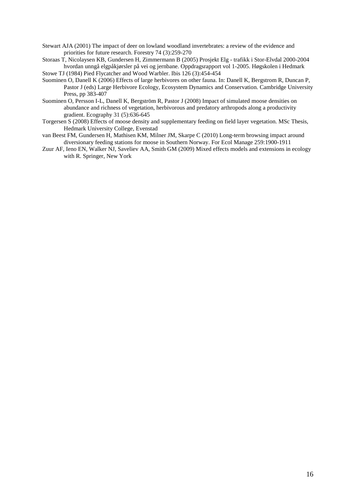- Stewart AJA (2001) The impact of deer on lowland woodland invertebrates: a review of the evidence and priorities for future research. Forestry 74 (3):259-270
- Storaas T, Nicolaysen KB, Gundersen H, Zimmermann B (2005) Prosjekt Elg trafikk i Stor-Elvdal 2000-2004 hvordan unngå elgpåkjørsler på vei og jernbane. Oppdragsrapport vol 1-2005. Høgskolen i Hedmark

Stowe TJ (1984) Pied Flycatcher and Wood Warbler. Ibis 126 (3):454-454

- Suominen O, Danell K (2006) Effects of large herbivores on other fauna. In: Danell K, Bergstrom R, Duncan P, Pastor J (eds) Large Herbivore Ecology, Ecosystem Dynamics and Conservation. Cambridge University Press, pp 383-407
- Suominen O, Persson I-L, Danell K, Bergström R, Pastor J (2008) Impact of simulated moose densities on abundance and richness of vegetation, herbivorous and predatory arthropods along a productivity gradient. Ecography 31 (5):636-645
- Torgersen S (2008) Effects of moose density and supplementary feeding on field layer vegetation. MSc Thesis, Hedmark University College, Evenstad
- van Beest FM, Gundersen H, Mathisen KM, Milner JM, Skarpe C (2010) Long-term browsing impact around diversionary feeding stations for moose in Southern Norway. For Ecol Manage 259:1900-1911
- Zuur AF, Ieno EN, Walker NJ, Saveliev AA, Smith GM (2009) Mixed effects models and extensions in ecology with R. Springer, New York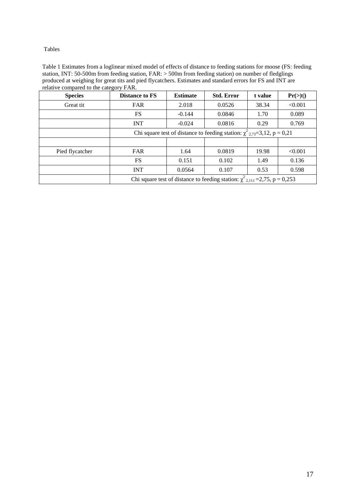Tables

Table 1 Estimates from a loglinear mixed model of effects of distance to feeding stations for moose (FS: feeding station, INT: 50-500m from feeding station, FAR: > 500m from feeding station) on number of fledglings produced at weighing for great tits and pied flycatchers. Estimates and standard errors for FS and INT are relative compared to the category FAR.

| <b>Species</b>  | <b>Distance to FS</b>                                                              | <b>Estimate</b> | <b>Std. Error</b> | t value | Pr(> t ) |  |
|-----------------|------------------------------------------------------------------------------------|-----------------|-------------------|---------|----------|--|
| Great tit       | <b>FAR</b>                                                                         | 2.018           | 0.0526            | 38.34   | < 0.001  |  |
|                 | <b>FS</b>                                                                          | $-0.144$        | 0.0846            | 1.70    | 0.089    |  |
|                 | <b>INT</b>                                                                         | $-0.024$        | 0.0816            | 0.29    | 0.769    |  |
|                 | Chi square test of distance to feeding station: $\chi^2_{2.73} = 3.12$ , p = 0.21  |                 |                   |         |          |  |
|                 |                                                                                    |                 |                   |         |          |  |
| Pied flycatcher | <b>FAR</b>                                                                         | 1.64            | 0.0819            | 19.98   | < 0.001  |  |
|                 | <b>FS</b>                                                                          | 0.151           | 0.102             | 1.49    | 0.136    |  |
|                 | <b>INT</b>                                                                         | 0.0564          | 0.107             | 0.53    | 0.598    |  |
|                 | Chi square test of distance to feeding station: $\chi^2_{2,111}$ = 2,75, p = 0,253 |                 |                   |         |          |  |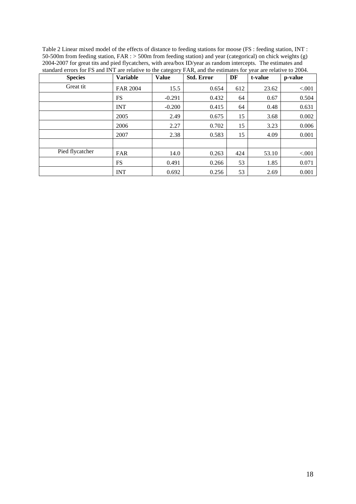| Table 2 Linear mixed model of the effects of distance to feeding stations for moose (FS: feeding station, INT:    |
|-------------------------------------------------------------------------------------------------------------------|
| 50-500m from feeding station, $FAR :$ > 500m from feeding station) and year (categorical) on chick weights (g)    |
| 2004-2007 for great tits and pied flycatchers, with area/box ID/year as random intercepts. The estimates and      |
| standard errors for FS and INT are relative to the category FAR, and the estimates for year are relative to 2004. |
|                                                                                                                   |

| <b>Species</b>  | Variable        | <b>Value</b> | <b>Std. Error</b> | DF  | t-value | p-value |
|-----------------|-----------------|--------------|-------------------|-----|---------|---------|
| Great tit       | <b>FAR 2004</b> | 15.5         | 0.654             | 612 | 23.62   | < 0.001 |
|                 | <b>FS</b>       | $-0.291$     | 0.432             | 64  | 0.67    | 0.504   |
|                 | <b>INT</b>      | $-0.200$     | 0.415             | 64  | 0.48    | 0.631   |
|                 | 2005            | 2.49         | 0.675             | 15  | 3.68    | 0.002   |
|                 | 2006            | 2.27         | 0.702             | 15  | 3.23    | 0.006   |
|                 | 2007            | 2.38         | 0.583             | 15  | 4.09    | 0.001   |
|                 |                 |              |                   |     |         |         |
| Pied flycatcher | <b>FAR</b>      | 14.0         | 0.263             | 424 | 53.10   | < 0.001 |
|                 | <b>FS</b>       | 0.491        | 0.266             | 53  | 1.85    | 0.071   |
|                 | <b>INT</b>      | 0.692        | 0.256             | 53  | 2.69    | 0.001   |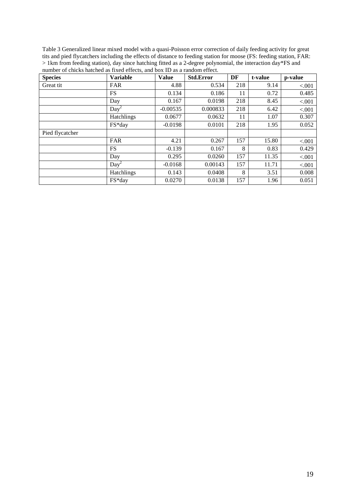Table 3 Generalized linear mixed model with a quasi-Poisson error correction of daily feeding activity for great tits and pied flycatchers including the effects of distance to feeding station for moose (FS: feeding station, FAR: > 1km from feeding station), day since hatching fitted as a 2-degree polynomial, the interaction day\*FS and number of chicks hatched as fixed effects, and box ID as a random effect.

| <b>Species</b>  | <b>Variable</b>   | <b>Value</b> | <b>Std.Error</b> | DF  | t-value | p-value |
|-----------------|-------------------|--------------|------------------|-----|---------|---------|
| Great tit       | <b>FAR</b>        | 4.88         | 0.534            | 218 | 9.14    | < 0.001 |
|                 | <b>FS</b>         | 0.134        | 0.186            | 11  | 0.72    | 0.485   |
|                 | Day               | 0.167        | 0.0198           | 218 | 8.45    | < .001  |
|                 | $Day^2$           | $-0.00535$   | 0.000833         | 218 | 6.42    | < 0.001 |
|                 | <b>Hatchlings</b> | 0.0677       | 0.0632           | 11  | 1.07    | 0.307   |
|                 | FS*day            | $-0.0198$    | 0.0101           | 218 | 1.95    | 0.052   |
| Pied flycatcher |                   |              |                  |     |         |         |
|                 | <b>FAR</b>        | 4.21         | 0.267            | 157 | 15.80   | < .001  |
|                 | <b>FS</b>         | $-0.139$     | 0.167            | 8   | 0.83    | 0.429   |
|                 | Day               | 0.295        | 0.0260           | 157 | 11.35   | < 0.001 |
|                 | $Day^2$           | $-0.0168$    | 0.00143          | 157 | 11.71   | < .001  |
|                 | <b>Hatchlings</b> | 0.143        | 0.0408           | 8   | 3.51    | 0.008   |
|                 | FS*day            | 0.0270       | 0.0138           | 157 | 1.96    | 0.051   |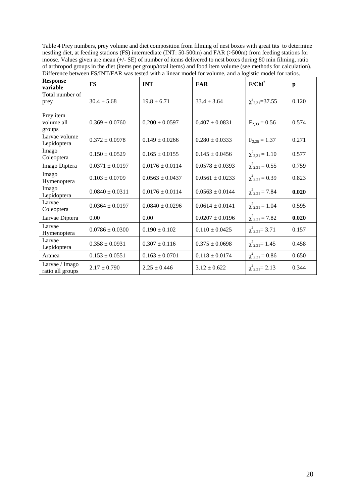Table 4 Prey numbers, prey volume and diet composition from filming of nest boxes with great tits to determine nestling diet, at feeding stations (FS) intermediate (INT: 50-500m) and FAR (>500m) from feeding stations for moose. Values given are mean (+/- SE) of number of items delivered to nest boxes during 80 min filming, ratio of arthropod groups in the diet (items per group/total items) and food item volume (see methods for calculation). Difference between FS/INT/FAR was tested with a linear model for volume, and a logistic model for ratios.

| <b>Response</b><br>variable        | <b>FS</b>           | <b>INT</b>          | <b>FAR</b>          | $F/Chi^2$               | $\mathbf{p}$ |
|------------------------------------|---------------------|---------------------|---------------------|-------------------------|--------------|
| Total number of<br>prey            | $30.4 \pm 5.68$     | $19.8 \pm 6.71$     | $33.4 \pm 3.64$     | $\chi^2_{2,31} = 37.55$ | 0.120        |
| Prey item<br>volume all<br>groups  | $0.369 \pm 0.0760$  | $0.200 \pm 0.0597$  | $0.407 \pm 0.0831$  | $F_{2,33} = 0.56$       | 0.574        |
| Larvae volume<br>Lepidoptera       | $0.372 \pm 0.0978$  | $0.149 \pm 0.0266$  | $0.280 \pm 0.0333$  | $F_{2,26} = 1.37$       | 0.271        |
| Imago<br>Coleoptera                | $0.150 \pm 0.0529$  | $0.165 \pm 0.0155$  | $0.145 \pm 0.0456$  | $\chi^2_{2,31} = 1.10$  | 0.577        |
| Imago Diptera                      | $0.0371 \pm 0.0197$ | $0.0176 \pm 0.0114$ | $0.0578 \pm 0.0393$ | $\chi^2_{2,31} = 0.55$  | 0.759        |
| Imago<br>Hymenoptera               | $0.103 \pm 0.0709$  | $0.0563 \pm 0.0437$ | $0.0561 \pm 0.0233$ | $\chi^2_{2,31} = 0.39$  | 0.823        |
| Imago<br>Lepidoptera               | $0.0840 \pm 0.0311$ | $0.0176 \pm 0.0114$ | $0.0563 \pm 0.0144$ | $\chi^2_{2,31} = 7.84$  | 0.020        |
| Larvae<br>Coleoptera               | $0.0364 \pm 0.0197$ | $0.0840 \pm 0.0296$ | $0.0614 \pm 0.0141$ | $\chi^2_{2,31} = 1.04$  | 0.595        |
| Larvae Diptera                     | 0.00                | 0.00                | $0.0207 \pm 0.0196$ | $\chi^2_{2,31} = 7.82$  | 0.020        |
| Larvae<br>Hymenoptera              | $0.0786 \pm 0.0300$ | $0.190 \pm 0.102$   | $0.110 \pm 0.0425$  | $\chi^2_{2,31} = 3.71$  | 0.157        |
| Larvae<br>Lepidoptera              | $0.358 \pm 0.0931$  | $0.307 \pm 0.116$   | $0.375 \pm 0.0698$  | $\chi^2_{2,31}$ = 1.45  | 0.458        |
| Aranea                             | $0.153 \pm 0.0551$  | $0.163 \pm 0.0701$  | $0.118 \pm 0.0174$  | $\chi^2_{2,31} = 0.86$  | 0.650        |
| Larvae / Imago<br>ratio all groups | $2.17 \pm 0.790$    | $2.25 \pm 0.446$    | $3.12 \pm 0.622$    | $\chi^2_{2,31} = 2.13$  | 0.344        |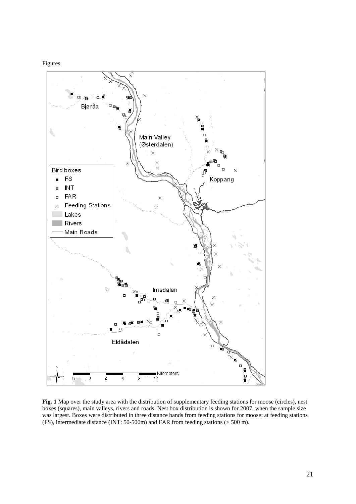#### Figures



**Fig. 1** Map over the study area with the distribution of supplementary feeding stations for moose (circles), nest boxes (squares), main valleys, rivers and roads. Nest box distribution is shown for 2007, when the sample size was largest. Boxes were distributed in three distance bands from feeding stations for moose: at feeding stations (FS), intermediate distance (INT: 50-500m) and FAR from feeding stations (> 500 m).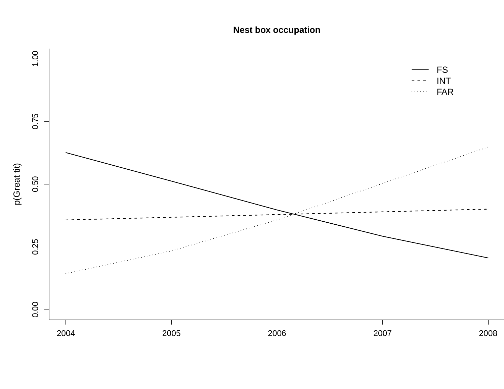# **Nest box occupation**

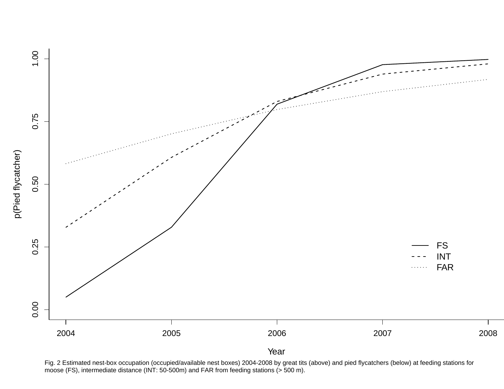

Fig. 2 Estimated nest-box occupation (occupied/available nest boxes) 2004-2008 by great tits (above) and pied flycatchers (below) at feeding stations for moose (FS), intermediate distance (INT: 50-500m) and FAR from feeding stations (> 500 m).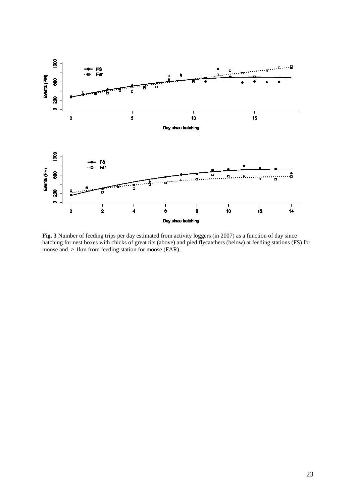

**Fig. 3** Number of feeding trips per day estimated from activity loggers (in 2007) as a function of day since hatching for nest boxes with chicks of great tits (above) and pied flycatchers (below) at feeding stations (FS) for moose and > 1km from feeding station for moose (FAR).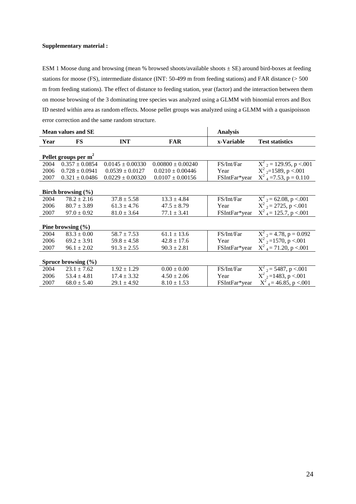#### **Supplementary material :**

ESM 1 Moose dung and browsing (mean % browsed shoots/available shoots ± SE) around bird-boxes at feeding stations for moose (FS), intermediate distance (INT: 50-499 m from feeding stations) and FAR distance (> 500 m from feeding stations). The effect of distance to feeding station, year (factor) and the interaction between them on moose browsing of the 3 dominating tree species was analyzed using a GLMM with binomial errors and Box ID nested within area as random effects. Moose pellet groups was analyzed using a GLMM with a quasipoisson error correction and the same random structure.

|                         | <b>Mean values and SE</b> |                      |                       | <b>Analysis</b> |                                      |  |
|-------------------------|---------------------------|----------------------|-----------------------|-----------------|--------------------------------------|--|
| Year                    | FS                        | <b>INT</b>           | <b>FAR</b>            | x-Variable      | <b>Test statistics</b>               |  |
|                         | Pellet groups per $m2$    |                      |                       |                 |                                      |  |
| 2004                    | $0.357 \pm 0.0854$        | $0.0145 \pm 0.00330$ | $0.00800 \pm 0.00240$ | FS/Int/Far      | $X^2$ <sub>2</sub> = 129.95, p < 001 |  |
| 2006                    | $0.728 \pm 0.0941$        | $0.0539 \pm 0.0127$  | $0.0210 \pm 0.00446$  | Year            | $X^2$ <sub>2</sub> =1589, p <.001    |  |
| 2007                    | $0.321 \pm 0.0486$        | $0.0229 \pm 0.00320$ | $0.0107 \pm 0.00156$  | FSIntFar*year   | $X^2$ <sub>4</sub> = 7.53, p = 0.110 |  |
|                         |                           |                      |                       |                 |                                      |  |
|                         | Birch browsing $(\% )$    |                      |                       |                 |                                      |  |
| 2004                    | $78.2 \pm 2.16$           | $37.8 \pm 5.58$      | $13.3 \pm 4.84$       | FS/Int/Far      | $X^2$ <sub>2</sub> = 62.08, p <.001  |  |
| 2006                    | $80.7 \pm 3.89$           | $61.3 \pm 4.76$      | $47.5 \pm 8.79$       | Year            | $X^2$ <sub>2</sub> = 2725, p < 001   |  |
| 2007                    | $97.0 \pm 0.92$           | $81.0 \pm 3.64$      | $77.1 \pm 3.41$       | FSIntFar*year   | $X^2$ <sub>4</sub> = 125.7, p < 001  |  |
|                         |                           |                      |                       |                 |                                      |  |
|                         | Pine browsing $(\% )$     |                      |                       |                 |                                      |  |
| 2004                    | $83.3 \pm 0.00$           | $58.7 \pm 7.53$      | $61.1 \pm 13.6$       | FS/Int/Far      | $X^2$ <sub>2</sub> = 4.78, p = 0.092 |  |
| 2006                    | $69.2 \pm 3.91$           | $59.8 \pm 4.58$      | $42.8 \pm 17.6$       | Year            | $X^2$ <sub>2</sub> =1570, p <.001    |  |
| 2007                    | $96.1 \pm 2.02$           | $91.3 \pm 2.55$      | $90.3 \pm 2.81$       | FSIntFar*year   | $X^2$ <sub>4</sub> = 71.20, p < 001  |  |
|                         |                           |                      |                       |                 |                                      |  |
| Spruce browsing $(\% )$ |                           |                      |                       |                 |                                      |  |
| 2004                    | $23.1 \pm 7.62$           | $1.92 \pm 1.29$      | $0.00 \pm 0.00$       | FS/Int/Far      | $X^2$ <sub>2</sub> = 5487, p <.001   |  |
| 2006                    | $53.4 \pm 4.81$           | $17.4 \pm 3.32$      | $4.50 \pm 2.06$       | Year            | $X^2$ <sub>2</sub> =1483, p <.001    |  |
| 2007                    | $68.0 \pm 5.40$           | $29.1 \pm 4.92$      | $8.10 \pm 1.53$       | FSIntFar*year   | $X^2$ <sub>4</sub> = 46.85, p < 001  |  |